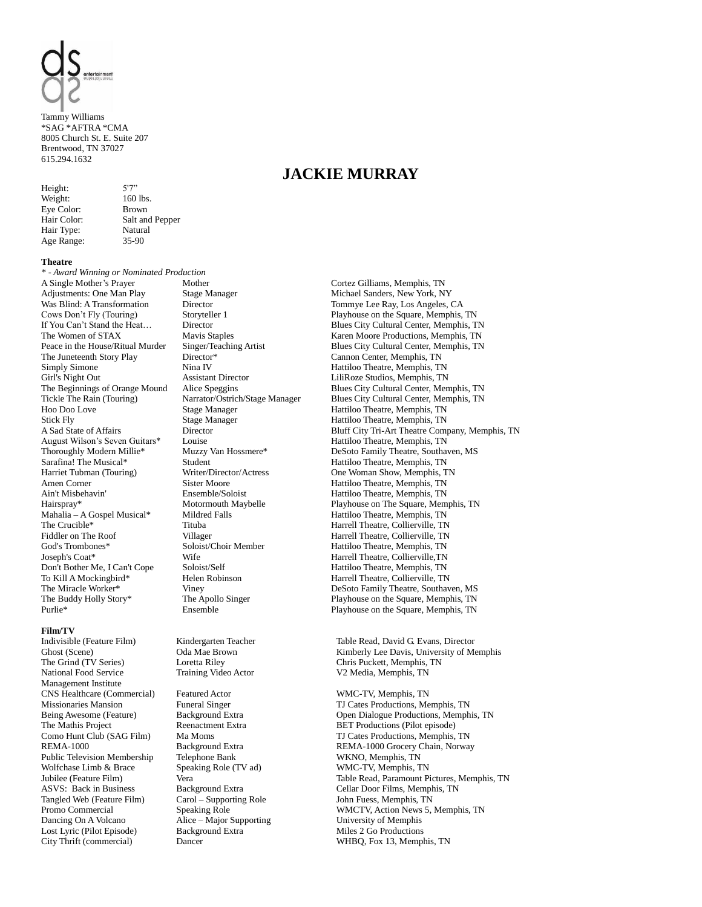

Tammy Williams \*SAG \*AFTRA \*CMA 8005 Church St. E. Suite 207 Brentwood, TN 37027 615.294.1632

Height:  $5'7''$ Weight: 160 lbs. Eye Color: Brown Hair Type: Natural Age Range: 35-90

Hair Color: Salt and Pepper

### **Theatre**

*\* - Award Winning or Nominated Production* A Single Mother's Prayer Adjustments: One Man Play Was Blind: A Transformation Cows Don't Fly (Touring) If You Can't Stand the Heat… The Women of STAX Peace in the House/Ritual Murder The Juneteenth Story Play Simply Simone<br>Girl's Night Out Stick Fly Stage Manager Hattiloo Theatre, Memphis, TN<br>A Sad State of Affairs Director Director Bluff City Tri-Art Theatre Comm August Wilson's Seven Guitars\* Louise Louise Hattiloo Theatre, Memphis, TN<br>
Thoroughly Modern Millie\* Muzzy Van Hossmere\* DeSoto Family Theatre. Southar Sarafina! The Musical\* Student Student Hattiloo Theatre, Memphis, TN<br>
Harriet Tubman (Touring) Writer/Director/Actress One Woman Show, Memphis, T Amen Corner Sister Moore<br>
Ain't Misbehavin' Sister Moore<br>
Ensemble/Soloist Hattiloo Theatre, Memphis, TN Mahalia – A Gospel Musical\* Mildred Falls Hattiloo Theatre, Memphis, TN The Crucible\* Tituba Harrell Theatre, Collierville, TN<br>Fiddler on The Roof Villager Harrell Theatre, Collierville, TN God's Trombones\* Soloist/Choir Member Hattiloo Theatre, Memphis, TN Joseph's Coat\* **Wife** Wife Harrell Theatre, Collierville,TN<br>
Don't Bother Me. I Can't Cope Soloist/Self Hattiloo Theatre. Memphis. TN Don't Bother Me, I Can't Cope Soloist/Self Hattiloo Theatre, Memphis, TN To Kill A Mockingbird\* Helen Robinson Harrell Theatre, Collierville, TN The Buddy Holly Story\* The Apollo Singer Playhouse on the Square, Memphis, TN<br>Purlie\* Playhouse on the Square. Memphis TN

### **Film/TV**

Indivisible (Feature Film) Ghost (Scene) The Grind (TV Series) National Food Service Management Institute CNS Healthcare (Commercial) Featured Actor WMC-TV, Memphis, TN Public Television Membership Telephone Bank WKNO, Memphis, TN<br>Wolfchase Limb & Brace Speaking Role (TV ad) WMC-TV, Memphis, TN Tangled Web (Feature Film) Dancing On A Volcano Alice – Major Supporting Lost Lyric (Pilot Episode) Background Extra Miles 2 Go Productions<br>City Thrift (commercial) Dancer Memple Background Extra MHBO, Fox 13, Memple

Mother Stage Manager Director Storyteller 1 Director Mavis Staples Singer/Teaching Artist Director\* Nina IV<br>Assistant Director

Kindergarten Teacher Oda Mae Brown Loretta Riley Training Video Actor

Speaking Role (TV ad)

Cortez Gilliams, Memphis, TN Michael Sanders, New York, NY Tommye Lee Ray, Los Angeles, CA Playhouse on the Square, Memphis, TN Blues City Cultural Center, Memphis, TN Karen Moore Productions, Memphis, TN Blues City Cultural Center, Memphis, TN Cannon Center, Memphis, TN Hattiloo Theatre, Memphis, TN LiliRoze Studios, Memphis, TN The Beginnings of Orange Mound Alice Speggins Blues City Cultural Center, Memphis, TN Tickle The Rain (Touring) Narrator/Ostrich/Stage Manager Blues City Cultural Center, Memphis, TN Hoo Doo Love Stage Manager Hattiloo Theatre, Memphis, TN Stage Manager **Hattiloo Theatre, Memphis, TN**<br>
Hattiloo Theatre, Memphis, TN<br>
Hattiloo Theatre, Memphis, TN Director Bluff City Tri-Art Theatre Company, Memphis, TN DeSoto Family Theatre, Southaven, MS One Woman Show, Memphis, TN Hattiloo Theatre, Memphis, TN Hairspray\* Motormouth Maybelle Playhouse on The Square, Memphis, TN Villager Marrell Theatre, Collierville, TN<br>
Soloist/Choir Member Hattiloo Theatre, Memphis, TN Harrell Theatre, Collierville, TN The Miracle Worker\* Viney Viney DeSoto Family Theatre, Southaven, MS<br>
The Buddy Holly Story\* The Apollo Singer Playhouse on the Square, Memphis, TN Playhouse on the Square, Memphis, TN

> Table Read, David G. Evans, Director Kimberly Lee Davis, University of Memphis Chris Puckett, Memphis, TN V2 Media, Memphis, TN

Funeral Singer TJ Cates Productions, Memphis, TN<br>Background Extra TC Company Company Consultions, Memph Being Awesome (Feature) Background Extra Open Dialogue Productions, Memphis, TN<br>The Mathis Project Reenactment Extra BET Productions (Pilot episode) The Mathis Project Reenactment Extra BET Productions (Pilot episode)<br>
Como Hunt Club (SAG Film) Ma Moms TJ Cates Productions, Memphis, Ma Moms TJ Cates Productions, Memphis, TN REMA-1000 Background Extra REMA-1000 Grocery Chain, Norway<br>Public Television Membership Telephone Bank WKNO, Memphis, TN Jubilee (Feature Film) Vera Table Read, Paramount Pictures, Memphis, TN ASVS: Back in Business Background Extra <br>
Tangled Web (Feature Film) Carol – Supporting Role John Fuess, Memphis, TN Promo Commercial Speaking Role WMCTV, Action News 5, Memphis, TN<br>
Dancing On A Volcano Alice – Major Supporting University of Memphis Dancer WHBQ, Fox 13, Memphis, TN

# **JACKIE MURRAY**